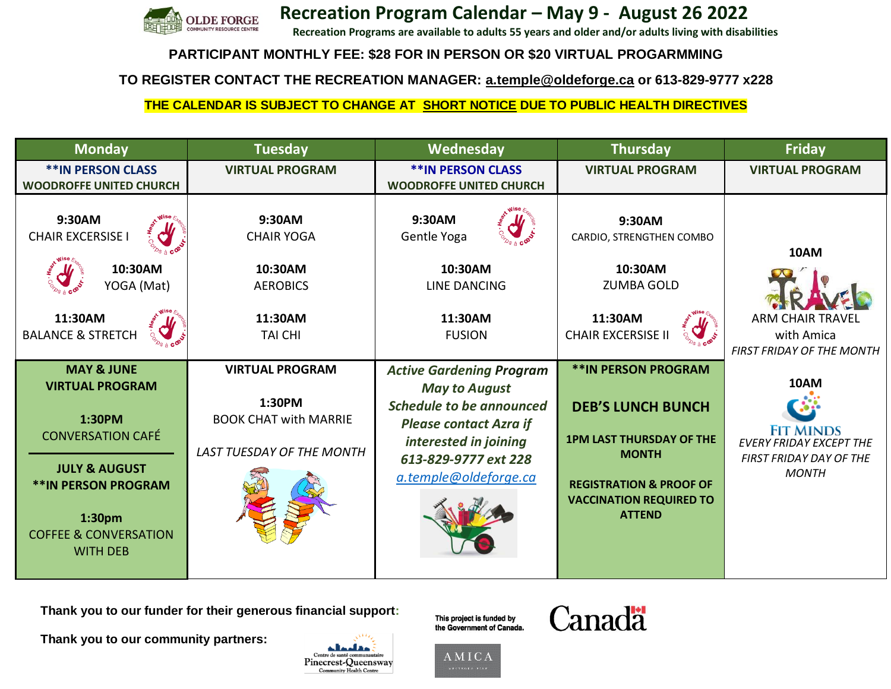

 **Recreation Program Calendar – May 9 - August 26 2022**

**Recreation Programs are available to adults 55 years and older and/or adults living with disabilities** 

## **PARTICIPANT MONTHLY FEE: \$28 FOR IN PERSON OR \$20 VIRTUAL PROGARMMING**

**TO REGISTER CONTACT THE RECREATION MANAGER: [a.temple@oldeforge.ca](mailto:a.temple@oldeforge.ca) or 613-829-9777 x228**

## **THE CALENDAR IS SUBJECT TO CHANGE AT SHORT NOTICE DUE TO PUBLIC HEALTH DIRECTIVES**

| <b>Monday</b>                                                                                          | <b>Tuesday</b>                                                                         | Wednesday                                                                           | <b>Thursday</b>                                                                                            | <b>Friday</b>                                                                     |
|--------------------------------------------------------------------------------------------------------|----------------------------------------------------------------------------------------|-------------------------------------------------------------------------------------|------------------------------------------------------------------------------------------------------------|-----------------------------------------------------------------------------------|
| <b>**IN PERSON CLASS</b><br><b>WOODROFFE UNITED CHURCH</b>                                             | <b>VIRTUAL PROGRAM</b>                                                                 | <b>**IN PERSON CLASS</b><br><b>WOODROFFE UNITED CHURCH</b>                          | <b>VIRTUAL PROGRAM</b>                                                                                     | <b>VIRTUAL PROGRAM</b>                                                            |
| 9:30AM<br><b>CHAIR EXCERSISE I</b><br>10:30AM<br>YOGA (Mat)<br>11:30AM<br><b>BALANCE &amp; STRETCH</b> | 9:30AM<br><b>CHAIR YOGA</b><br>10:30AM<br><b>AEROBICS</b><br>11:30AM<br><b>TAI CHI</b> | 9:30AM<br>Gentle Yoga<br>10:30AM<br><b>LINE DANCING</b><br>11:30AM<br><b>FUSION</b> | 9:30AM<br>CARDIO, STRENGTHEN COMBO<br>10:30AM<br><b>ZUMBA GOLD</b><br>11:30AM<br><b>CHAIR EXCERSISE II</b> | 10AM<br><b>ARM CHAIR TRAVEL</b><br>with Amica<br><b>FIRST FRIDAY OF THE MONTH</b> |
| <b>MAY &amp; JUNE</b>                                                                                  | <b>VIRTUAL PROGRAM</b>                                                                 | <b>Active Gardening Program</b>                                                     | <b>**IN PERSON PROGRAM</b>                                                                                 |                                                                                   |
| <b>VIRTUAL PROGRAM</b>                                                                                 | 1:30PM                                                                                 | <b>May to August</b>                                                                |                                                                                                            | 10AM                                                                              |
| 1:30PM                                                                                                 | <b>BOOK CHAT with MARRIE</b>                                                           | <b>Schedule to be announced</b><br><b>Please contact Azra if</b>                    | <b>DEB'S LUNCH BUNCH</b>                                                                                   |                                                                                   |
| <b>CONVERSATION CAFÉ</b>                                                                               | LAST TUESDAY OF THE MONTH                                                              | interested in joining                                                               | <b>1PM LAST THURSDAY OF THE</b><br><b>MONTH</b>                                                            | <b>FIT MINDS</b><br><b>EVERY FRIDAY EXCEPT THE</b><br>FIRST FRIDAY DAY OF THE     |
| <b>JULY &amp; AUGUST</b><br><b>**IN PERSON PROGRAM</b>                                                 |                                                                                        | 613-829-9777 ext 228<br>a.temple@oldeforge.ca                                       | <b>REGISTRATION &amp; PROOF OF</b><br><b>VACCINATION REQUIRED TO</b>                                       | <b>MONTH</b>                                                                      |
| 1:30 <sub>pm</sub><br><b>COFFEE &amp; CONVERSATION</b><br><b>WITH DEB</b>                              |                                                                                        |                                                                                     | <b>ATTEND</b>                                                                                              |                                                                                   |

**Thank you to our funder for their generous financial support:** 

**Thank you to our community partners:** 

This project is funded by the Government of Canada.





مقالممالخ Centre de santé commun

Pinecrest-Queensway Community Health Centre